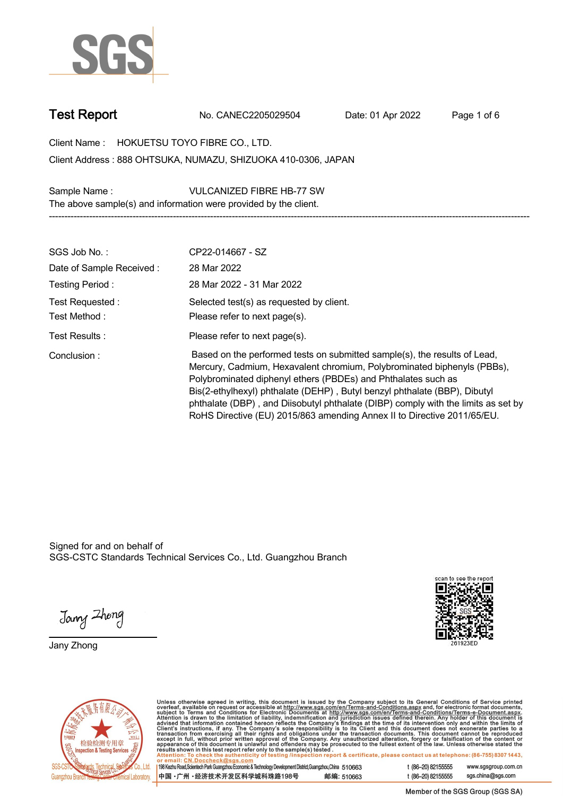

**Test Report. No. CANEC2205029504 . Date: 01 Apr 2022. Page 1 of 6.**

**Client Name : HOKUETSU TOYO FIBRE CO., LTD. . 888 OHTSUKA, NUMAZU, SHIZUOKA 410-0306, JAPAN . Client Address :**

**Sample Name : VULCANIZED FIBRE HB-77 SW . The above sample(s) and information were provided by the client.**

| SGS Job No.:                     | CP22-014667 - SZ                                                                                                                                                                                                                                                                                                                                                                                                                                                   |
|----------------------------------|--------------------------------------------------------------------------------------------------------------------------------------------------------------------------------------------------------------------------------------------------------------------------------------------------------------------------------------------------------------------------------------------------------------------------------------------------------------------|
| Date of Sample Received:         | 28 Mar 2022                                                                                                                                                                                                                                                                                                                                                                                                                                                        |
| Testing Period:                  | 28 Mar 2022 - 31 Mar 2022                                                                                                                                                                                                                                                                                                                                                                                                                                          |
| Test Requested :<br>Test Method: | Selected test(s) as requested by client.<br>Please refer to next page(s).                                                                                                                                                                                                                                                                                                                                                                                          |
| Test Results :                   | Please refer to next page(s).                                                                                                                                                                                                                                                                                                                                                                                                                                      |
|                                  |                                                                                                                                                                                                                                                                                                                                                                                                                                                                    |
| Conclusion:                      | Based on the performed tests on submitted sample(s), the results of Lead,<br>Mercury, Cadmium, Hexavalent chromium, Polybrominated biphenyls (PBBs),<br>Polybrominated diphenyl ethers (PBDEs) and Phthalates such as<br>Bis(2-ethylhexyl) phthalate (DEHP), Butyl benzyl phthalate (BBP), Dibutyl<br>phthalate (DBP), and Diisobutyl phthalate (DIBP) comply with the limits as set by<br>RoHS Directive (EU) 2015/863 amending Annex II to Directive 2011/65/EU. |

**-----------------------------------------------------------------------------------------------------------------------------------------------------------**

Signed for and on behalf of SGS-CSTC Standards Technical Services Co., Ltd. Guangzhou Branch.

Jany Zhong

**Jany Zhong.**





Unless otherwise agreed in writing, this document is issued by the Company subject to its General Conditions of Service printed<br>overleaf, available on request or accessible at http://www.sgs.com/en/Terms-and-Conditions.as

| 中国 •广州 •经济技术开发区科学城科珠路198号                                                                                    | 邮编: 510663 |
|--------------------------------------------------------------------------------------------------------------|------------|
| 198 Kezhu Road,Scientech Park Guangzhou Economic & Technology Development District,Guangzhou,China   51 O663 |            |

t (86-20) 82155555 www.sgsgroup.com.cn sgs.china@sgs.com t (86-20) 82155555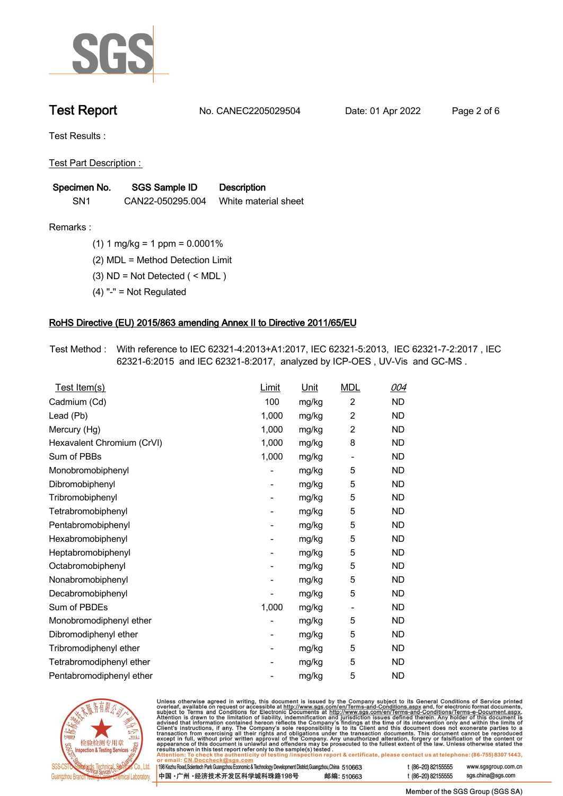

**Test Report. No. CANEC2205029504 . Date: 01 Apr 2022. Page 2 of 6.**

**Test Results :.**

**Test Part Description : .**

| Specimen No.    | <b>SGS Sample ID</b> | <b>Description</b>   |
|-----------------|----------------------|----------------------|
| SN <sub>1</sub> | CAN22-050295.004     | White material sheet |

- **Remarks :.(1) 1 mg/kg = 1 ppm = 0.0001% .**
	- **(2) MDL = Method Detection Limit .**
	- **(3) ND = Not Detected ( < MDL ) .**
	- **(4) "-" = Not Regulated .**

## **RoHS Directive (EU) 2015/863 amending Annex II to Directive 2011/65/EU.**

**Test Method :. With reference to IEC 62321-4:2013+A1:2017, IEC 62321-5:2013, IEC 62321-7-2:2017 , IEC 62321-6:2015 and IEC 62321-8:2017, analyzed by ICP-OES , UV-Vis and GC-MS . .**

| Test Item(s)               | <b>Limit</b> | <u>Unit</u> | <b>MDL</b>                   | 004       |
|----------------------------|--------------|-------------|------------------------------|-----------|
| Cadmium (Cd)               | 100          | mg/kg       | $\overline{c}$               | <b>ND</b> |
| Lead (Pb)                  | 1,000        | mg/kg       | $\overline{2}$               | <b>ND</b> |
| Mercury (Hg)               | 1,000        | mg/kg       | $\overline{2}$               | <b>ND</b> |
| Hexavalent Chromium (CrVI) | 1,000        | mg/kg       | 8                            | <b>ND</b> |
| Sum of PBBs                | 1,000        | mg/kg       | $\overline{\phantom{0}}$     | <b>ND</b> |
| Monobromobiphenyl          |              | mg/kg       | 5                            | <b>ND</b> |
| Dibromobiphenyl            | -            | mg/kg       | 5                            | <b>ND</b> |
| Tribromobiphenyl           | -            | mg/kg       | 5                            | <b>ND</b> |
| Tetrabromobiphenyl         |              | mg/kg       | 5                            | <b>ND</b> |
| Pentabromobiphenyl         | -            | mg/kg       | 5                            | <b>ND</b> |
| Hexabromobiphenyl          |              | mg/kg       | 5                            | <b>ND</b> |
| Heptabromobiphenyl         |              | mg/kg       | 5                            | <b>ND</b> |
| Octabromobiphenyl          | -            | mg/kg       | 5                            | <b>ND</b> |
| Nonabromobiphenyl          |              | mg/kg       | 5                            | <b>ND</b> |
| Decabromobiphenyl          |              | mg/kg       | 5                            | <b>ND</b> |
| Sum of PBDEs               | 1,000        | mg/kg       | $\qquad \qquad \blacksquare$ | <b>ND</b> |
| Monobromodiphenyl ether    |              | mg/kg       | 5                            | <b>ND</b> |
| Dibromodiphenyl ether      |              | mg/kg       | 5                            | <b>ND</b> |
| Tribromodiphenyl ether     | -            | mg/kg       | 5                            | <b>ND</b> |
| Tetrabromodiphenyl ether   |              | mg/kg       | 5                            | <b>ND</b> |
| Pentabromodiphenyl ether   |              | mg/kg       | 5                            | <b>ND</b> |



Unless otherwise agreed in writing, this document is issued by the Company subject to its General Conditions of Service printed overleaf, available on request or accessible at http://www.sgs.com/en/Terms-and-Conditions.as

| or email: CN.DOCCHECK@sgs.com                                                                              |            |                    |                     |
|------------------------------------------------------------------------------------------------------------|------------|--------------------|---------------------|
| 198 Kezhu Road,Scientech Park Guangzhou Economic & Technology Development District,Guangzhou,China 51 0663 |            | t (86-20) 82155555 | www.sgsgroup.com.cl |
| ┃中国 •广州 •经济技术开发区科学城科珠路198号 ↓                                                                               | 邮编: 510663 | t (86-20) 82155555 | sgs.china@sgs.com   |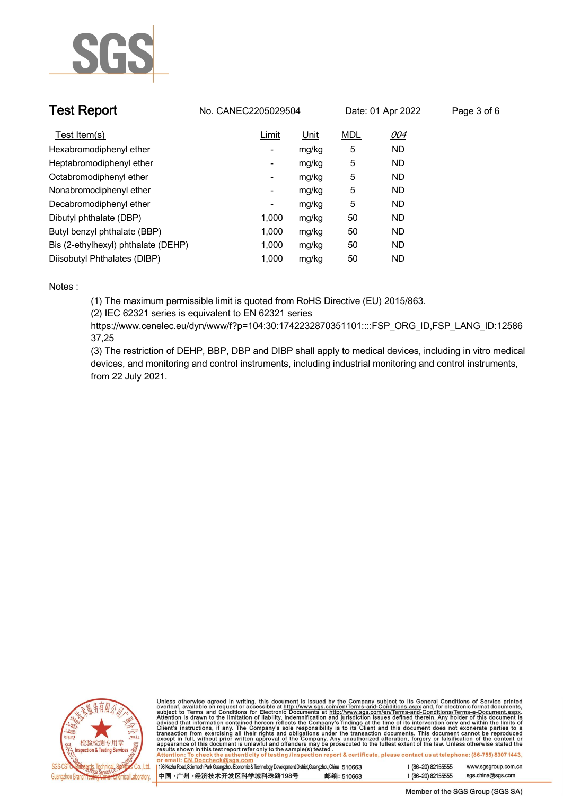

| <b>Test Report</b>                  | No. CANEC2205029504      |       |            | Date: 01 Apr 2022 | Page 3 of 6 |
|-------------------------------------|--------------------------|-------|------------|-------------------|-------------|
| Test Item(s)                        | Limit                    | Unit  | <b>MDL</b> | 004               |             |
| Hexabromodiphenyl ether             | ۰.                       | mg/kg | 5          | <b>ND</b>         |             |
| Heptabromodiphenyl ether            | ٠                        | mg/kg | 5          | <b>ND</b>         |             |
| Octabromodiphenyl ether             | Ξ.                       | mg/kg | 5          | <b>ND</b>         |             |
| Nonabromodiphenyl ether             | Ξ.                       | mg/kg | 5          | <b>ND</b>         |             |
| Decabromodiphenyl ether             | $\overline{\phantom{a}}$ | mg/kg | 5          | <b>ND</b>         |             |
| Dibutyl phthalate (DBP)             | 1.000                    | mg/kg | 50         | <b>ND</b>         |             |
| Butyl benzyl phthalate (BBP)        | 1.000                    | mg/kg | 50         | <b>ND</b>         |             |
| Bis (2-ethylhexyl) phthalate (DEHP) | 1.000                    | mg/kg | 50         | <b>ND</b>         |             |
| Diisobutyl Phthalates (DIBP)        | 1.000                    | mg/kg | 50         | ND                |             |

### **Notes :.**

**(1) The maximum permissible limit is quoted from RoHS Directive (EU) 2015/863.**

**(2) IEC 62321 series is equivalent to EN 62321 series**

**https://www.cenelec.eu/dyn/www/f?p=104:30:1742232870351101::::FSP\_ORG\_ID,FSP\_LANG\_ID:12586 37,25**

**(3) The restriction of DEHP, BBP, DBP and DIBP shall apply to medical devices, including in vitro medical devices, and monitoring and control instruments, including industrial monitoring and control instruments, from 22 July 2021..**



Unless otherwise agreed in writing, this document is issued by the Company subject to its General Conditions of Service printed<br>overleaf, available on request or accessible at http://www.sgs.com/en/Terms-and-Conditions.as

| 198 Kezhu Road, Scientech Park Guangzhou Economic & Technology Development District, Guangzhou, China 510663 |            |
|--------------------------------------------------------------------------------------------------------------|------------|
| 中国・广州 ・经济技术开发区科学城科珠路198号                                                                                     | 邮编: 510663 |

www.sgsgroup.com.cn

t (86-20) 82155555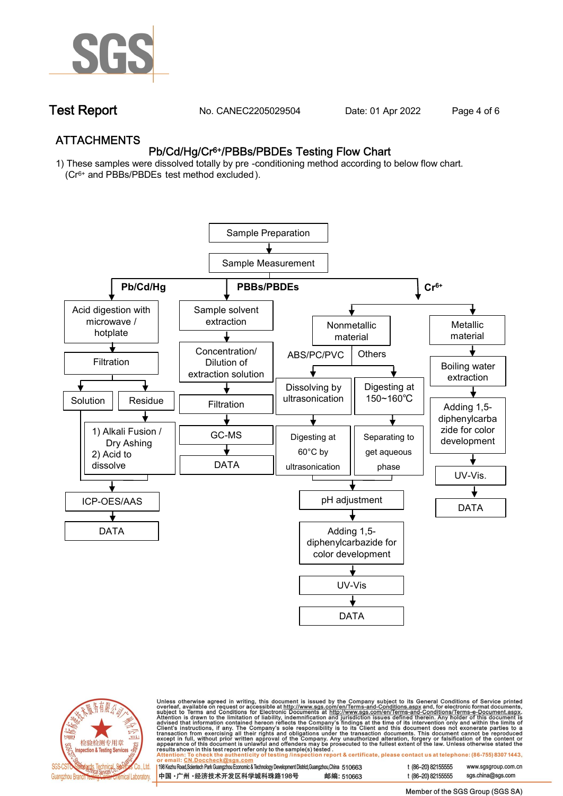

**Test Report. No. CANEC2205029504 . Date: 01 Apr 2022. Page 4 of 6.**

## **ATTACHMENTS Pb/Cd/Hg/Cr6+/PBBs/PBDEs Testing Flow Chart**

**1) These samples were dissolved totally by pre -conditioning method according to below flow chart. (Cr6+ and PBBs/PBDEs test method excluded ).**





Unless otherwise agreed in writing, this document is issued by the Company subject to its General Conditions of Service printed<br>overleaf, available on request or accessible at <u>http://www.sgs.com/en/Terms-and-Conditions.a</u>

| 198 Kezhu Road,Scientech Park Guangzhou Economic & Technology Development District,Guangzhou,China   510663 |            |
|-------------------------------------------------------------------------------------------------------------|------------|
| 中国 •广州 •经济技术开发区科学城科珠路198号 ;                                                                                 | 邮编: 510663 |

t (86-20) 82155555 t (86-20) 82155555 sas.china@sas.com

www.sgsgroup.com.cn

Member of the SGS Group (SGS SA)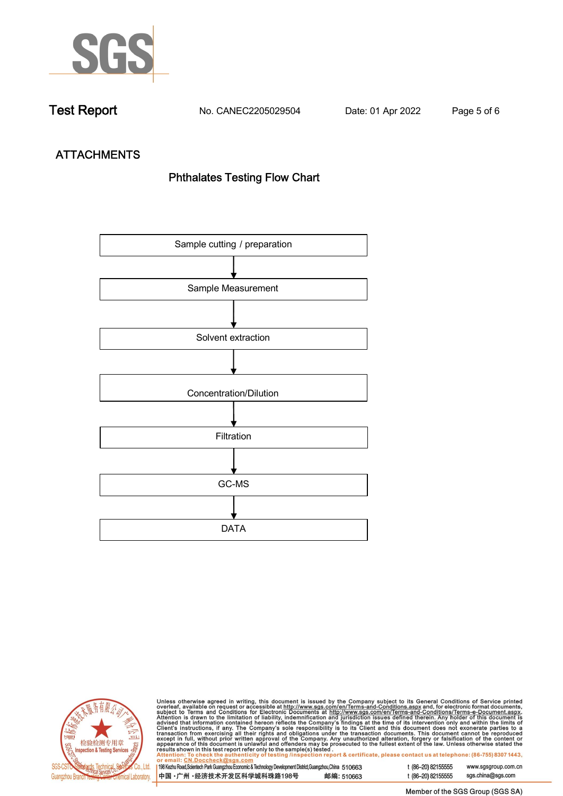

**Test Report. No. CANEC2205029504 . Date: 01 Apr 2022. Page 5 of 6.**

# **ATTACHMENTS Phthalates Testing Flow Chart**





Unless otherwise agreed in writing, this document is issued by the Company subject to its General Conditions of Service printed overleaf, available on request or accessible at http://www.sgs.com/en/Terms-and-Conditions.as

| or email: CN.Doccheck@sus.com                                                                                |            |  |
|--------------------------------------------------------------------------------------------------------------|------------|--|
|                                                                                                              |            |  |
| 198 Kezhu Road, Scientech Park Guangzhou Economic & Technology Development District, Guangzhou, China 510663 |            |  |
|                                                                                                              |            |  |
| 中国 •广州 •经济技术开发区科学城科珠路198号                                                                                    | 邮编: 510663 |  |
|                                                                                                              |            |  |

t (86-20) 82155555 www.sgsgroup.com.cn t (86-20) 82155555 sgs.china@sgs.com